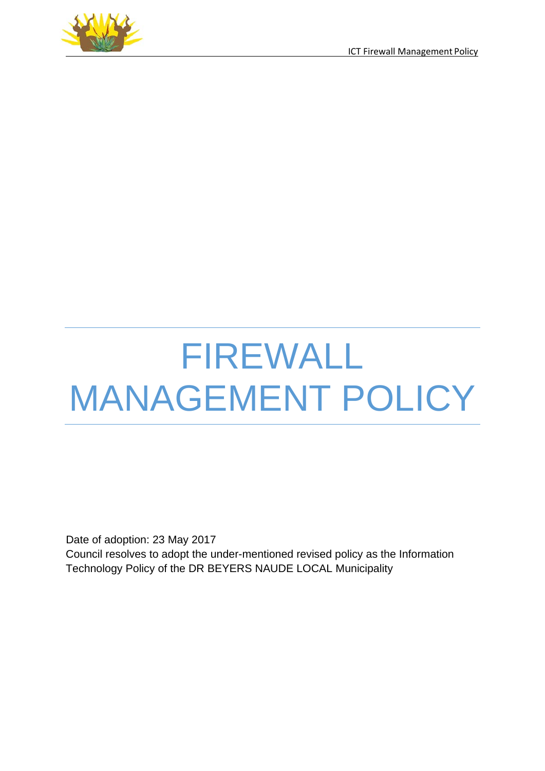

# FIREWALL MANAGEMENT POLICY

Date of adoption: 23 May 2017

Council resolves to adopt the under-mentioned revised policy as the Information Technology Policy of the DR BEYERS NAUDE LOCAL Municipality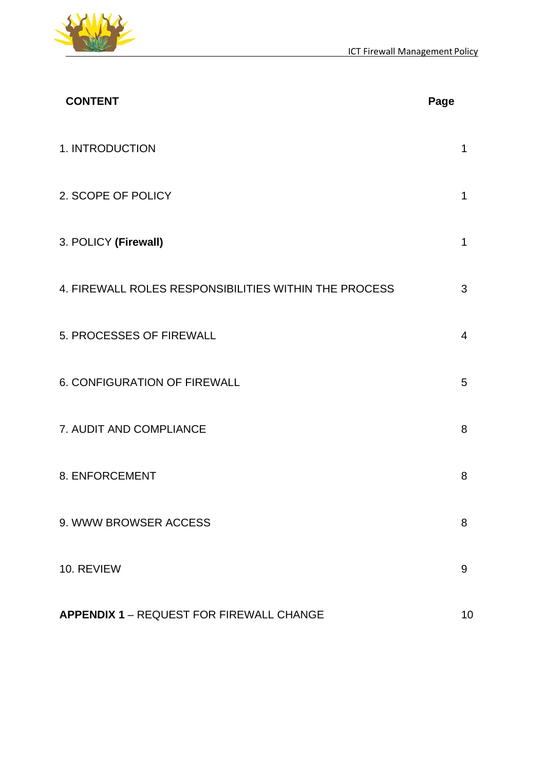

| <b>CONTENT</b>                                        | Page           |
|-------------------------------------------------------|----------------|
| 1. INTRODUCTION                                       | 1              |
| 2. SCOPE OF POLICY                                    | 1              |
| 3. POLICY (Firewall)                                  | 1              |
| 4. FIREWALL ROLES RESPONSIBILITIES WITHIN THE PROCESS | 3              |
| 5. PROCESSES OF FIREWALL                              | $\overline{4}$ |
| 6. CONFIGURATION OF FIREWALL                          | 5              |
| 7. AUDIT AND COMPLIANCE                               | 8              |
| 8. ENFORCEMENT                                        | 8              |
| 9. WWW BROWSER ACCESS                                 | 8              |
| 10. REVIEW                                            | 9              |
| <b>APPENDIX 1 - REQUEST FOR FIREWALL CHANGE</b>       | 10             |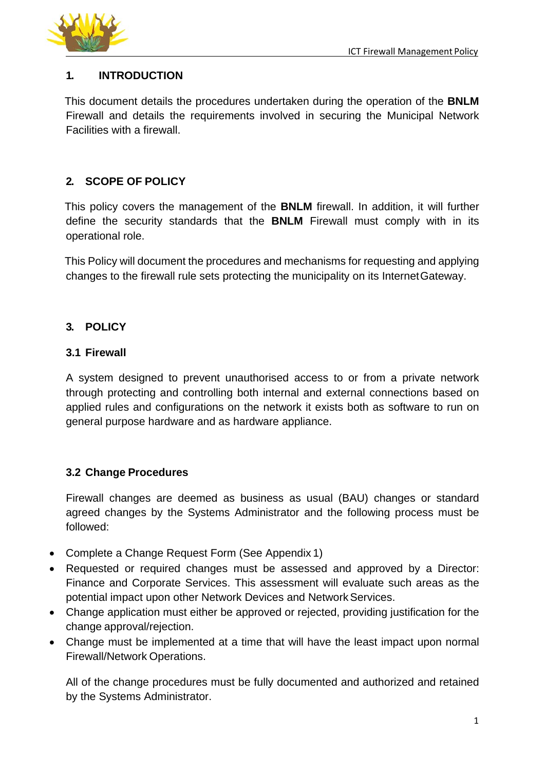

#### **1. INTRODUCTION**

This document details the procedures undertaken during the operation of the **BNLM**  Firewall and details the requirements involved in securing the Municipal Network Facilities with a firewall.

# **2. SCOPE OF POLICY**

This policy covers the management of the **BNLM** firewall. In addition, it will further define the security standards that the **BNLM** Firewall must comply with in its operational role.

This Policy will document the procedures and mechanisms for requesting and applying changes to the firewall rule sets protecting the municipality on its InternetGateway.

## **3. POLICY**

#### **3.1 Firewall**

A system designed to prevent unauthorised access to or from a private network through protecting and controlling both internal and external connections based on applied rules and configurations on the network it exists both as software to run on general purpose hardware and as hardware appliance.

#### **3.2 Change Procedures**

Firewall changes are deemed as business as usual (BAU) changes or standard agreed changes by the Systems Administrator and the following process must be followed:

- Complete a Change Request Form (See Appendix 1)
- Requested or required changes must be assessed and approved by a Director: Finance and Corporate Services. This assessment will evaluate such areas as the potential impact upon other Network Devices and Network Services.
- Change application must either be approved or rejected, providing justification for the change approval/rejection.
- Change must be implemented at a time that will have the least impact upon normal Firewall/Network Operations.

All of the change procedures must be fully documented and authorized and retained by the Systems Administrator.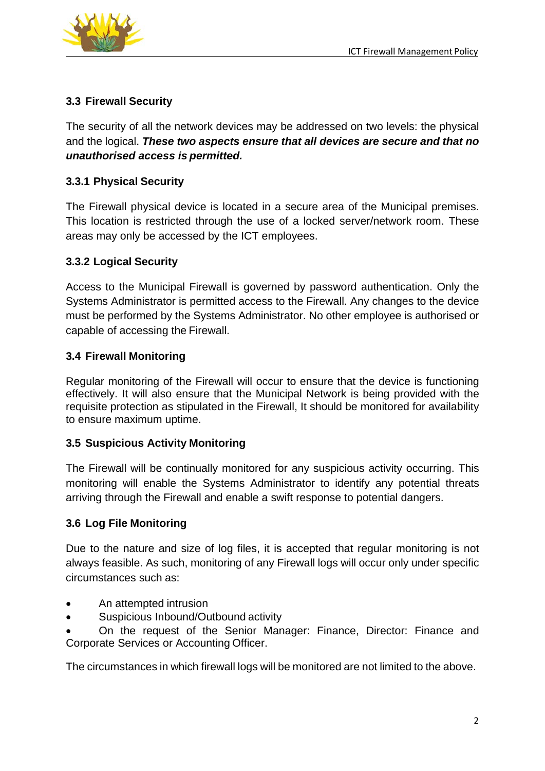

# **3.3 Firewall Security**

The security of all the network devices may be addressed on two levels: the physical and the logical. *These two aspects ensure that all devices are secure and that no unauthorised access is permitted.*

# **3.3.1 Physical Security**

The Firewall physical device is located in a secure area of the Municipal premises. This location is restricted through the use of a locked server/network room. These areas may only be accessed by the ICT employees.

#### **3.3.2 Logical Security**

Access to the Municipal Firewall is governed by password authentication. Only the Systems Administrator is permitted access to the Firewall. Any changes to the device must be performed by the Systems Administrator. No other employee is authorised or capable of accessing the Firewall.

#### **3.4 Firewall Monitoring**

Regular monitoring of the Firewall will occur to ensure that the device is functioning effectively. It will also ensure that the Municipal Network is being provided with the requisite protection as stipulated in the Firewall, It should be monitored for availability to ensure maximum uptime.

#### **3.5 Suspicious Activity Monitoring**

The Firewall will be continually monitored for any suspicious activity occurring. This monitoring will enable the Systems Administrator to identify any potential threats arriving through the Firewall and enable a swift response to potential dangers.

#### **3.6 Log File Monitoring**

Due to the nature and size of log files, it is accepted that regular monitoring is not always feasible. As such, monitoring of any Firewall logs will occur only under specific circumstances such as:

- An attempted intrusion
- Suspicious Inbound/Outbound activity

• On the request of the Senior Manager: Finance, Director: Finance and Corporate Services or Accounting Officer.

The circumstances in which firewall logs will be monitored are not limited to the above.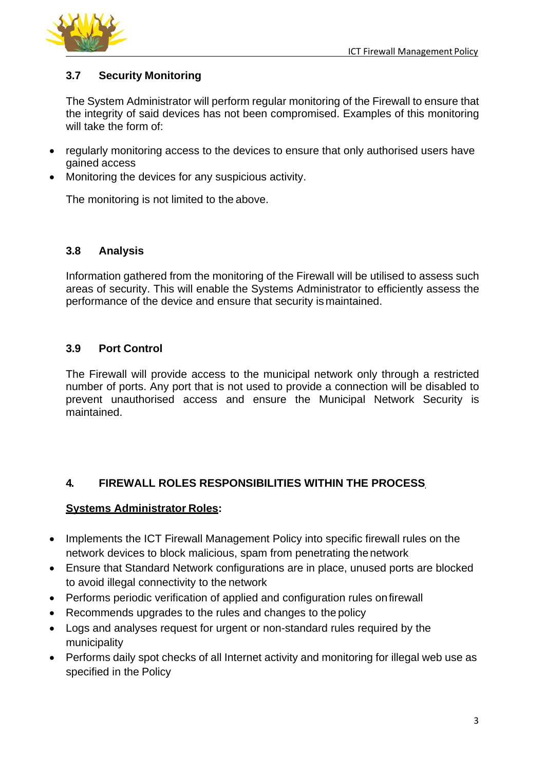

#### **3.7 Security Monitoring**

The System Administrator will perform regular monitoring of the Firewall to ensure that the integrity of said devices has not been compromised. Examples of this monitoring will take the form of:

- regularly monitoring access to the devices to ensure that only authorised users have gained access
- Monitoring the devices for any suspicious activity.

The monitoring is not limited to the above.

#### **3.8 Analysis**

Information gathered from the monitoring of the Firewall will be utilised to assess such areas of security. This will enable the Systems Administrator to efficiently assess the performance of the device and ensure that security is maintained.

#### **3.9 Port Control**

The Firewall will provide access to the municipal network only through a restricted number of ports. Any port that is not used to provide a connection will be disabled to prevent unauthorised access and ensure the Municipal Network Security is maintained.

#### **4. FIREWALL ROLES RESPONSIBILITIES WITHIN THE PROCESS**

#### **Systems Administrator Roles:**

- Implements the ICT Firewall Management Policy into specific firewall rules on the network devices to block malicious, spam from penetrating thenetwork
- Ensure that Standard Network configurations are in place, unused ports are blocked to avoid illegal connectivity to the network
- Performs periodic verification of applied and configuration rules onfirewall
- Recommends upgrades to the rules and changes to the policy
- Logs and analyses request for urgent or non-standard rules required by the municipality
- Performs daily spot checks of all Internet activity and monitoring for illegal web use as specified in the Policy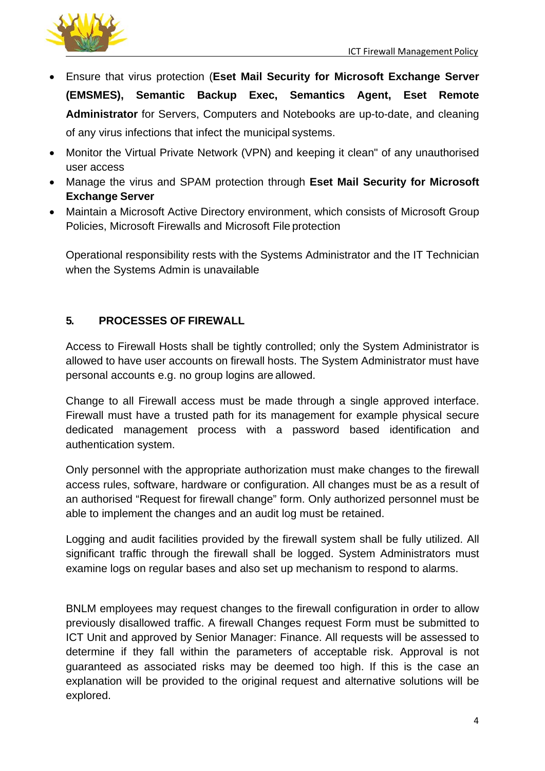

- Ensure that virus protection (**Eset Mail Security for Microsoft Exchange Server (EMSMES), Semantic Backup Exec, Semantics Agent, Eset Remote Administrator** for Servers, Computers and Notebooks are up-to-date, and cleaning of any virus infections that infect the municipal systems.
- Monitor the Virtual Private Network (VPN) and keeping it clean" of any unauthorised user access
- Manage the virus and SPAM protection through **Eset Mail Security for Microsoft Exchange Server**
- Maintain a Microsoft Active Directory environment, which consists of Microsoft Group Policies, Microsoft Firewalls and Microsoft File protection

Operational responsibility rests with the Systems Administrator and the IT Technician when the Systems Admin is unavailable

## **5. PROCESSES OF FIREWALL**

Access to Firewall Hosts shall be tightly controlled; only the System Administrator is allowed to have user accounts on firewall hosts. The System Administrator must have personal accounts e.g. no group logins are allowed.

Change to all Firewall access must be made through a single approved interface. Firewall must have a trusted path for its management for example physical secure dedicated management process with a password based identification and authentication system.

Only personnel with the appropriate authorization must make changes to the firewall access rules, software, hardware or configuration. All changes must be as a result of an authorised "Request for firewall change" form. Only authorized personnel must be able to implement the changes and an audit log must be retained.

Logging and audit facilities provided by the firewall system shall be fully utilized. All significant traffic through the firewall shall be logged. System Administrators must examine logs on regular bases and also set up mechanism to respond to alarms.

BNLM employees may request changes to the firewall configuration in order to allow previously disallowed traffic. A firewall Changes request Form must be submitted to ICT Unit and approved by Senior Manager: Finance. All requests will be assessed to determine if they fall within the parameters of acceptable risk. Approval is not guaranteed as associated risks may be deemed too high. If this is the case an explanation will be provided to the original request and alternative solutions will be explored.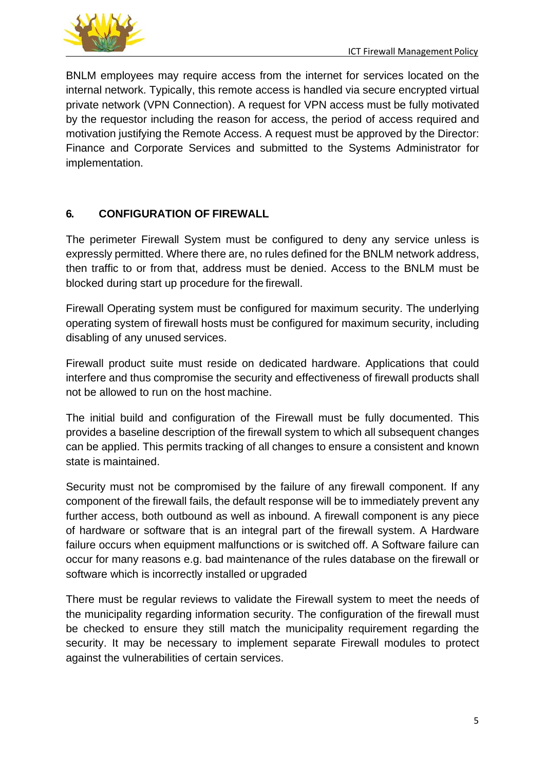



BNLM employees may require access from the internet for services located on the internal network. Typically, this remote access is handled via secure encrypted virtual private network (VPN Connection). A request for VPN access must be fully motivated by the requestor including the reason for access, the period of access required and motivation justifying the Remote Access. A request must be approved by the Director: Finance and Corporate Services and submitted to the Systems Administrator for implementation.

# **6. CONFIGURATION OF FIREWALL**

The perimeter Firewall System must be configured to deny any service unless is expressly permitted. Where there are, no rules defined for the BNLM network address, then traffic to or from that, address must be denied. Access to the BNLM must be blocked during start up procedure for the firewall.

Firewall Operating system must be configured for maximum security. The underlying operating system of firewall hosts must be configured for maximum security, including disabling of any unused services.

Firewall product suite must reside on dedicated hardware. Applications that could interfere and thus compromise the security and effectiveness of firewall products shall not be allowed to run on the host machine.

The initial build and configuration of the Firewall must be fully documented. This provides a baseline description of the firewall system to which all subsequent changes can be applied. This permits tracking of all changes to ensure a consistent and known state is maintained.

Security must not be compromised by the failure of any firewall component. If any component of the firewall fails, the default response will be to immediately prevent any further access, both outbound as well as inbound. A firewall component is any piece of hardware or software that is an integral part of the firewall system. A Hardware failure occurs when equipment malfunctions or is switched off. A Software failure can occur for many reasons e.g. bad maintenance of the rules database on the firewall or software which is incorrectly installed or upgraded

There must be regular reviews to validate the Firewall system to meet the needs of the municipality regarding information security. The configuration of the firewall must be checked to ensure they still match the municipality requirement regarding the security. It may be necessary to implement separate Firewall modules to protect against the vulnerabilities of certain services.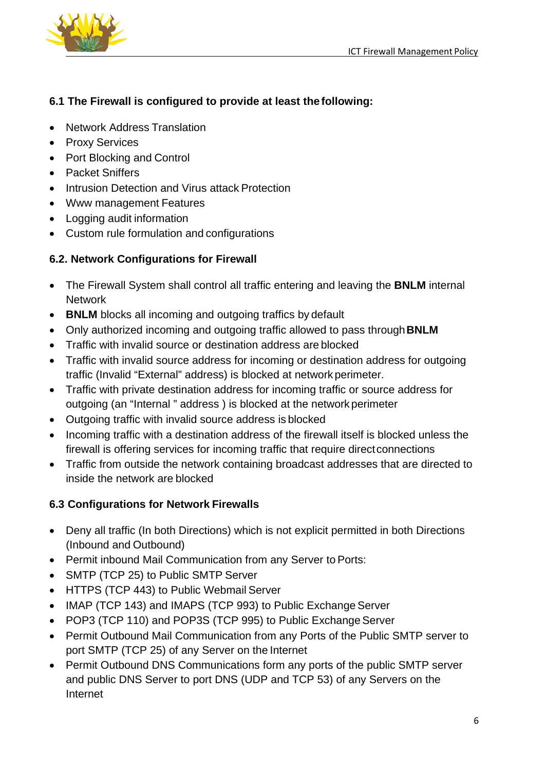

# **6.1 The Firewall is configured to provide at least the following:**

- Network Address Translation
- Proxy Services
- Port Blocking and Control
- Packet Sniffers
- Intrusion Detection and Virus attack Protection
- Www management Features
- Logging audit information
- Custom rule formulation and configurations

## **6.2. Network Configurations for Firewall**

- The Firewall System shall control all traffic entering and leaving the **BNLM** internal **Network**
- **BNLM** blocks all incoming and outgoing traffics by default
- Only authorized incoming and outgoing traffic allowed to pass through**BNLM**
- Traffic with invalid source or destination address are blocked
- Traffic with invalid source address for incoming or destination address for outgoing traffic (Invalid "External" address) is blocked at network perimeter.
- Traffic with private destination address for incoming traffic or source address for outgoing (an "Internal " address ) is blocked at the network perimeter
- Outgoing traffic with invalid source address is blocked
- Incoming traffic with a destination address of the firewall itself is blocked unless the firewall is offering services for incoming traffic that require directconnections
- Traffic from outside the network containing broadcast addresses that are directed to inside the network are blocked

#### **6.3 Configurations for Network Firewalls**

- Deny all traffic (In both Directions) which is not explicit permitted in both Directions (Inbound and Outbound)
- Permit inbound Mail Communication from any Server to Ports:
- SMTP (TCP 25) to Public SMTP Server
- HTTPS (TCP 443) to Public Webmail Server
- IMAP (TCP 143) and IMAPS (TCP 993) to Public Exchange Server
- POP3 (TCP 110) and POP3S (TCP 995) to Public Exchange Server
- Permit Outbound Mail Communication from any Ports of the Public SMTP server to port SMTP (TCP 25) of any Server on the Internet
- Permit Outbound DNS Communications form any ports of the public SMTP server and public DNS Server to port DNS (UDP and TCP 53) of any Servers on the Internet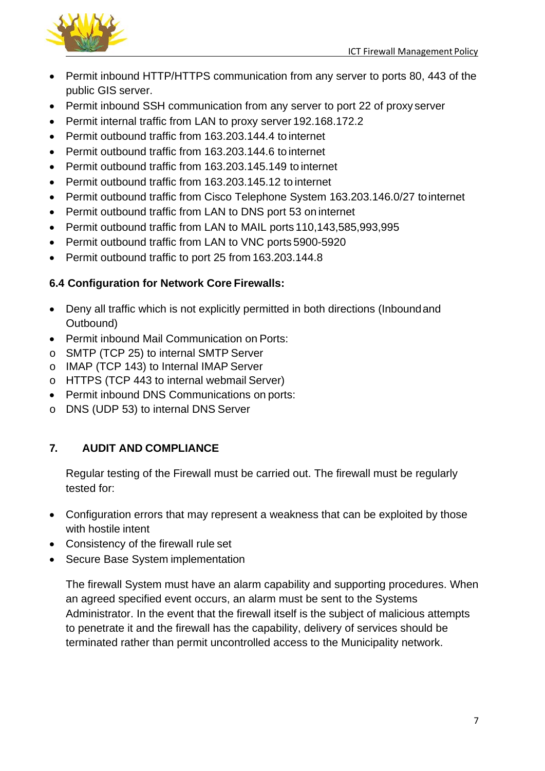

- Permit inbound HTTP/HTTPS communication from any server to ports 80, 443 of the public GIS server.
- Permit inbound SSH communication from any server to port 22 of proxy server
- Permit internal traffic from LAN to proxy server 192.168.172.2
- Permit outbound traffic from 163.203.144.4 to internet
- Permit outbound traffic from 163.203.144.6 to internet
- Permit outbound traffic from 163.203.145.149 to internet
- Permit outbound traffic from 163.203.145.12 to internet
- Permit outbound traffic from Cisco Telephone System 163.203.146.0/27 tointernet
- Permit outbound traffic from LAN to DNS port 53 on internet
- Permit outbound traffic from LAN to MAIL ports 110,143,585,993,995
- Permit outbound traffic from LAN to VNC ports 5900-5920
- Permit outbound traffic to port 25 from 163.203.144.8

# **6.4 Configuration for Network Core Firewalls:**

- Deny all traffic which is not explicitly permitted in both directions (Inboundand Outbound)
- Permit inbound Mail Communication on Ports:
- o SMTP (TCP 25) to internal SMTP Server
- o IMAP (TCP 143) to Internal IMAP Server
- o HTTPS (TCP 443 to internal webmail Server)
- Permit inbound DNS Communications on ports:
- o DNS (UDP 53) to internal DNS Server

# **7. AUDIT AND COMPLIANCE**

Regular testing of the Firewall must be carried out. The firewall must be regularly tested for:

- Configuration errors that may represent a weakness that can be exploited by those with hostile intent
- Consistency of the firewall rule set
- Secure Base System implementation

The firewall System must have an alarm capability and supporting procedures. When an agreed specified event occurs, an alarm must be sent to the Systems Administrator. In the event that the firewall itself is the subject of malicious attempts to penetrate it and the firewall has the capability, delivery of services should be terminated rather than permit uncontrolled access to the Municipality network.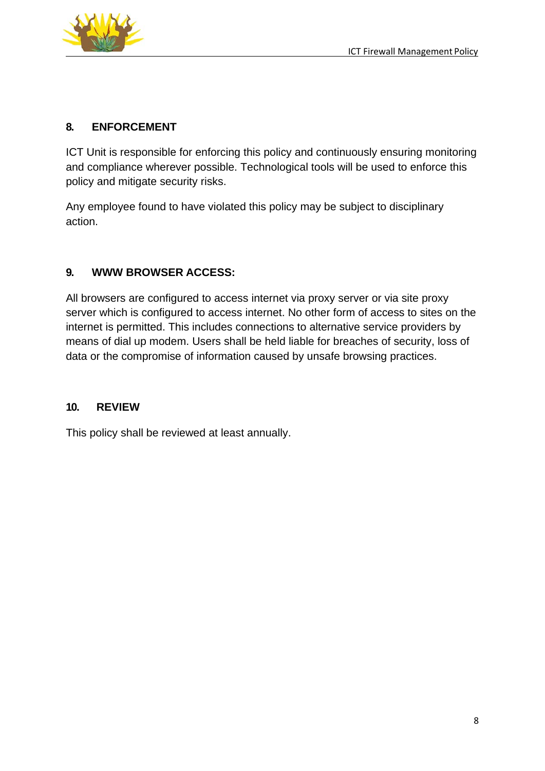

#### **8. ENFORCEMENT**

ICT Unit is responsible for enforcing this policy and continuously ensuring monitoring and compliance wherever possible. Technological tools will be used to enforce this policy and mitigate security risks.

Any employee found to have violated this policy may be subject to disciplinary action.

#### **9. WWW BROWSER ACCESS:**

All browsers are configured to access internet via proxy server or via site proxy server which is configured to access internet. No other form of access to sites on the internet is permitted. This includes connections to alternative service providers by means of dial up modem. Users shall be held liable for breaches of security, loss of data or the compromise of information caused by unsafe browsing practices.

#### **10. REVIEW**

This policy shall be reviewed at least annually.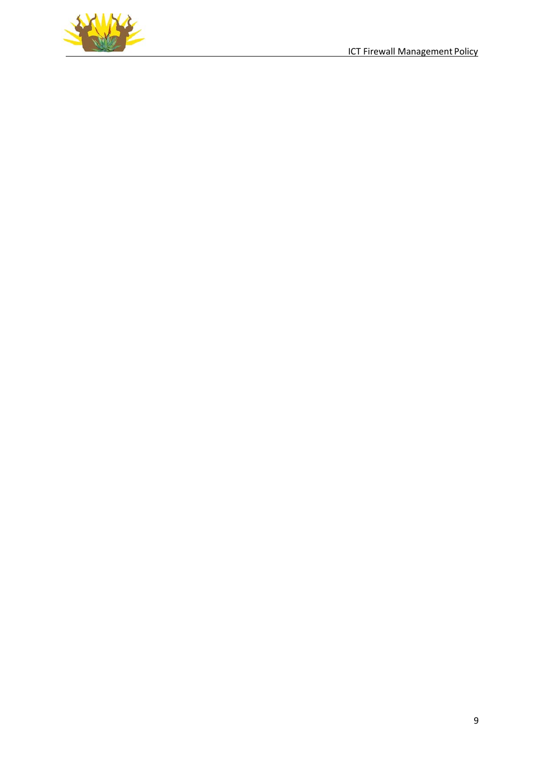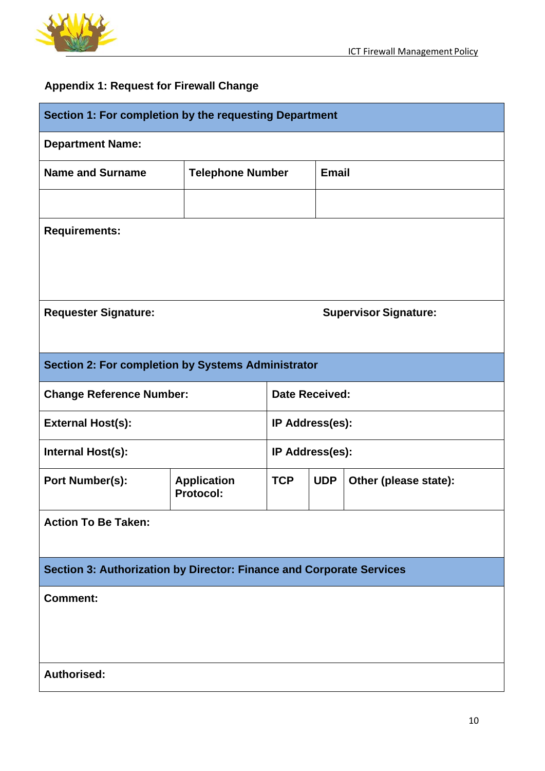

# **Appendix 1: Request for Firewall Change**

| Section 1: For completion by the requesting Department                      |                                        |                       |              |                       |  |  |
|-----------------------------------------------------------------------------|----------------------------------------|-----------------------|--------------|-----------------------|--|--|
| <b>Department Name:</b>                                                     |                                        |                       |              |                       |  |  |
| <b>Name and Surname</b>                                                     | <b>Telephone Number</b>                |                       | <b>Email</b> |                       |  |  |
|                                                                             |                                        |                       |              |                       |  |  |
| <b>Requirements:</b>                                                        |                                        |                       |              |                       |  |  |
|                                                                             |                                        |                       |              |                       |  |  |
|                                                                             |                                        |                       |              |                       |  |  |
| <b>Requester Signature:</b>                                                 | <b>Supervisor Signature:</b>           |                       |              |                       |  |  |
|                                                                             |                                        |                       |              |                       |  |  |
| Section 2: For completion by Systems Administrator                          |                                        |                       |              |                       |  |  |
| <b>Change Reference Number:</b>                                             |                                        | <b>Date Received:</b> |              |                       |  |  |
| <b>External Host(s):</b>                                                    |                                        | IP Address(es):       |              |                       |  |  |
| Internal Host(s):                                                           |                                        | IP Address(es):       |              |                       |  |  |
| <b>Port Number(s):</b>                                                      | <b>Application</b><br><b>Protocol:</b> | <b>TCP</b>            | <b>UDP</b>   | Other (please state): |  |  |
| <b>Action To Be Taken:</b>                                                  |                                        |                       |              |                       |  |  |
| <b>Section 3: Authorization by Director: Finance and Corporate Services</b> |                                        |                       |              |                       |  |  |
| <b>Comment:</b>                                                             |                                        |                       |              |                       |  |  |
|                                                                             |                                        |                       |              |                       |  |  |
|                                                                             |                                        |                       |              |                       |  |  |
| <b>Authorised:</b>                                                          |                                        |                       |              |                       |  |  |